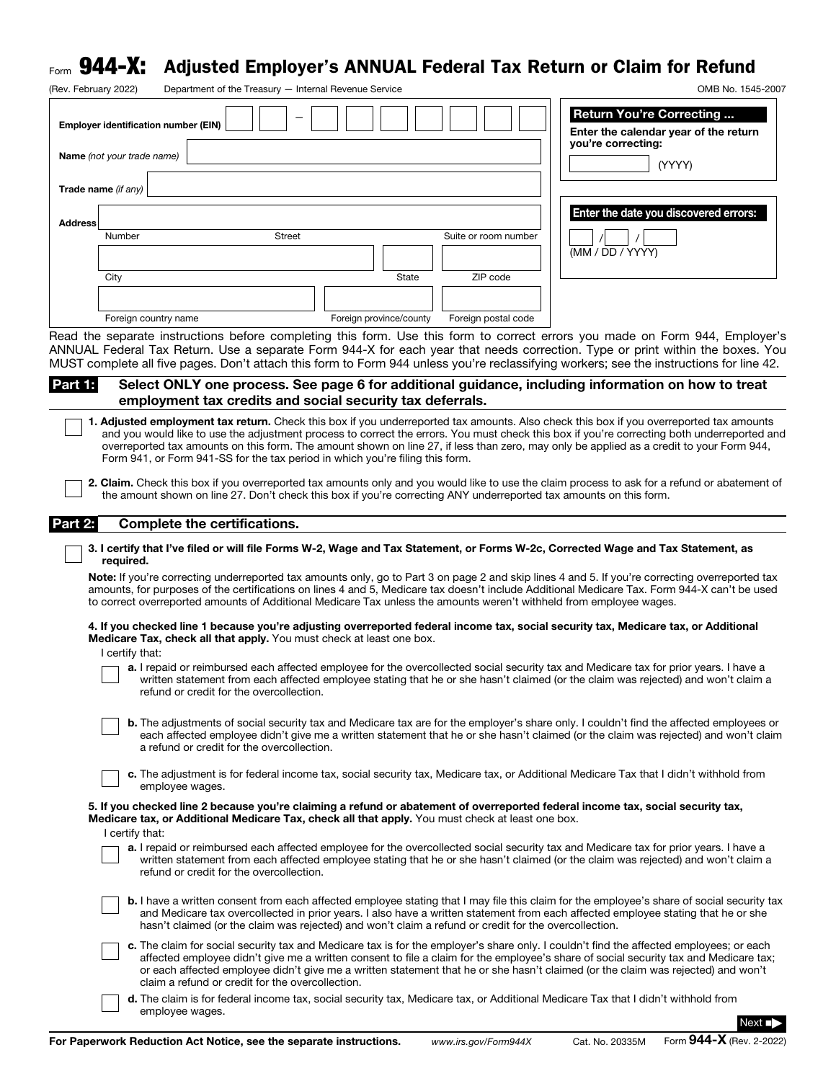## $_{\sf Form}$   ${\bf 944}$ – ${\bf X:}\;$  Adjusted Employer's ANNUAL Federal Tax Return or Claim for Refund

| (Rev. February 2022) |                                                                                                                                                                                                     | Department of the Treasury - Internal Revenue Service                                                 |               |  |                         |  |                      |                    |                                                                                                                                                                                                                                                                                                                                                                                                                                                                                                                                                                                     | OMB No. 1545-2007 |
|----------------------|-----------------------------------------------------------------------------------------------------------------------------------------------------------------------------------------------------|-------------------------------------------------------------------------------------------------------|---------------|--|-------------------------|--|----------------------|--------------------|-------------------------------------------------------------------------------------------------------------------------------------------------------------------------------------------------------------------------------------------------------------------------------------------------------------------------------------------------------------------------------------------------------------------------------------------------------------------------------------------------------------------------------------------------------------------------------------|-------------------|
|                      | <b>Employer identification number (EIN)</b>                                                                                                                                                         |                                                                                                       |               |  |                         |  |                      |                    | <b>Return You're Correcting</b><br>Enter the calendar year of the return                                                                                                                                                                                                                                                                                                                                                                                                                                                                                                            |                   |
|                      | Name (not your trade name)                                                                                                                                                                          |                                                                                                       |               |  |                         |  |                      | you're correcting: | (YYYY)                                                                                                                                                                                                                                                                                                                                                                                                                                                                                                                                                                              |                   |
|                      | Trade name (if any)                                                                                                                                                                                 |                                                                                                       |               |  |                         |  |                      |                    |                                                                                                                                                                                                                                                                                                                                                                                                                                                                                                                                                                                     |                   |
| <b>Address</b>       | Number                                                                                                                                                                                              |                                                                                                       | <b>Street</b> |  |                         |  | Suite or room number |                    | Enter the date you discovered errors:                                                                                                                                                                                                                                                                                                                                                                                                                                                                                                                                               |                   |
|                      |                                                                                                                                                                                                     |                                                                                                       |               |  |                         |  |                      | (MM / DD / YYYY)   |                                                                                                                                                                                                                                                                                                                                                                                                                                                                                                                                                                                     |                   |
|                      | City                                                                                                                                                                                                |                                                                                                       |               |  | State                   |  | ZIP code             |                    |                                                                                                                                                                                                                                                                                                                                                                                                                                                                                                                                                                                     |                   |
|                      | Foreign country name                                                                                                                                                                                |                                                                                                       |               |  | Foreign province/county |  | Foreign postal code  |                    |                                                                                                                                                                                                                                                                                                                                                                                                                                                                                                                                                                                     |                   |
|                      |                                                                                                                                                                                                     |                                                                                                       |               |  |                         |  |                      |                    | Read the separate instructions before completing this form. Use this form to correct errors you made on Form 944, Employer's<br>ANNUAL Federal Tax Return. Use a separate Form 944-X for each year that needs correction. Type or print within the boxes. You<br>MUST complete all five pages. Don't attach this form to Form 944 unless you're reclassifying workers; see the instructions for line 42.                                                                                                                                                                            |                   |
| Part 1:              |                                                                                                                                                                                                     | employment tax credits and social security tax deferrals.                                             |               |  |                         |  |                      |                    | Select ONLY one process. See page 6 for additional guidance, including information on how to treat                                                                                                                                                                                                                                                                                                                                                                                                                                                                                  |                   |
|                      | Form 941, or Form 941-SS for the tax period in which you're filing this form.<br>the amount shown on line 27. Don't check this box if you're correcting ANY underreported tax amounts on this form. |                                                                                                       |               |  |                         |  |                      |                    | 1. Adjusted employment tax return. Check this box if you underreported tax amounts. Also check this box if you overreported tax amounts<br>and you would like to use the adjustment process to correct the errors. You must check this box if you're correcting both underreported and<br>overreported tax amounts on this form. The amount shown on line 27, if less than zero, may only be applied as a credit to your Form 944,<br>2. Claim. Check this box if you overreported tax amounts only and you would like to use the claim process to ask for a refund or abatement of |                   |
| Part 2:              |                                                                                                                                                                                                     | <b>Complete the certifications.</b>                                                                   |               |  |                         |  |                      |                    |                                                                                                                                                                                                                                                                                                                                                                                                                                                                                                                                                                                     |                   |
|                      | required.                                                                                                                                                                                           |                                                                                                       |               |  |                         |  |                      |                    | 3. I certify that I've filed or will file Forms W-2, Wage and Tax Statement, or Forms W-2c, Corrected Wage and Tax Statement, as                                                                                                                                                                                                                                                                                                                                                                                                                                                    |                   |
|                      | to correct overreported amounts of Additional Medicare Tax unless the amounts weren't withheld from employee wages.                                                                                 |                                                                                                       |               |  |                         |  |                      |                    | Note: If you're correcting underreported tax amounts only, go to Part 3 on page 2 and skip lines 4 and 5. If you're correcting overreported tax<br>amounts, for purposes of the certifications on lines 4 and 5, Medicare tax doesn't include Additional Medicare Tax. Form 944-X can't be used                                                                                                                                                                                                                                                                                     |                   |
|                      | Medicare Tax, check all that apply. You must check at least one box.<br>I certify that:                                                                                                             |                                                                                                       |               |  |                         |  |                      |                    | 4. If you checked line 1 because you're adjusting overreported federal income tax, social security tax, Medicare tax, or Additional                                                                                                                                                                                                                                                                                                                                                                                                                                                 |                   |
|                      |                                                                                                                                                                                                     | refund or credit for the overcollection.                                                              |               |  |                         |  |                      |                    | a. I repaid or reimbursed each affected employee for the overcollected social security tax and Medicare tax for prior years. I have a<br>written statement from each affected employee stating that he or she hasn't claimed (or the claim was rejected) and won't claim a                                                                                                                                                                                                                                                                                                          |                   |
|                      |                                                                                                                                                                                                     | a refund or credit for the overcollection.                                                            |               |  |                         |  |                      |                    | <b>b.</b> The adjustments of social security tax and Medicare tax are for the employer's share only. I couldn't find the affected employees or<br>each affected employee didn't give me a written statement that he or she hasn't claimed (or the claim was rejected) and won't claim                                                                                                                                                                                                                                                                                               |                   |
|                      |                                                                                                                                                                                                     | employee wages.                                                                                       |               |  |                         |  |                      |                    | c. The adjustment is for federal income tax, social security tax, Medicare tax, or Additional Medicare Tax that I didn't withhold from                                                                                                                                                                                                                                                                                                                                                                                                                                              |                   |
|                      | Medicare tax, or Additional Medicare Tax, check all that apply. You must check at least one box.<br>I certify that:                                                                                 |                                                                                                       |               |  |                         |  |                      |                    | 5. If you checked line 2 because you're claiming a refund or abatement of overreported federal income tax, social security tax,                                                                                                                                                                                                                                                                                                                                                                                                                                                     |                   |
|                      |                                                                                                                                                                                                     | refund or credit for the overcollection.                                                              |               |  |                         |  |                      |                    | a. I repaid or reimbursed each affected employee for the overcollected social security tax and Medicare tax for prior years. I have a<br>written statement from each affected employee stating that he or she hasn't claimed (or the claim was rejected) and won't claim a                                                                                                                                                                                                                                                                                                          |                   |
|                      |                                                                                                                                                                                                     | hasn't claimed (or the claim was rejected) and won't claim a refund or credit for the overcollection. |               |  |                         |  |                      |                    | <b>b.</b> I have a written consent from each affected employee stating that I may file this claim for the employee's share of social security tax<br>and Medicare tax overcollected in prior years. I also have a written statement from each affected employee stating that he or she                                                                                                                                                                                                                                                                                              |                   |
|                      |                                                                                                                                                                                                     | claim a refund or credit for the overcollection.                                                      |               |  |                         |  |                      |                    | c. The claim for social security tax and Medicare tax is for the employer's share only. I couldn't find the affected employees; or each<br>affected employee didn't give me a written consent to file a claim for the employee's share of social security tax and Medicare tax;<br>or each affected employee didn't give me a written statement that he or she hasn't claimed (or the claim was rejected) and won't                                                                                                                                                                 |                   |
|                      | employee wages.                                                                                                                                                                                     |                                                                                                       |               |  |                         |  |                      |                    | d. The claim is for federal income tax, social security tax, Medicare tax, or Additional Medicare Tax that I didn't withhold from                                                                                                                                                                                                                                                                                                                                                                                                                                                   |                   |

Next ■▶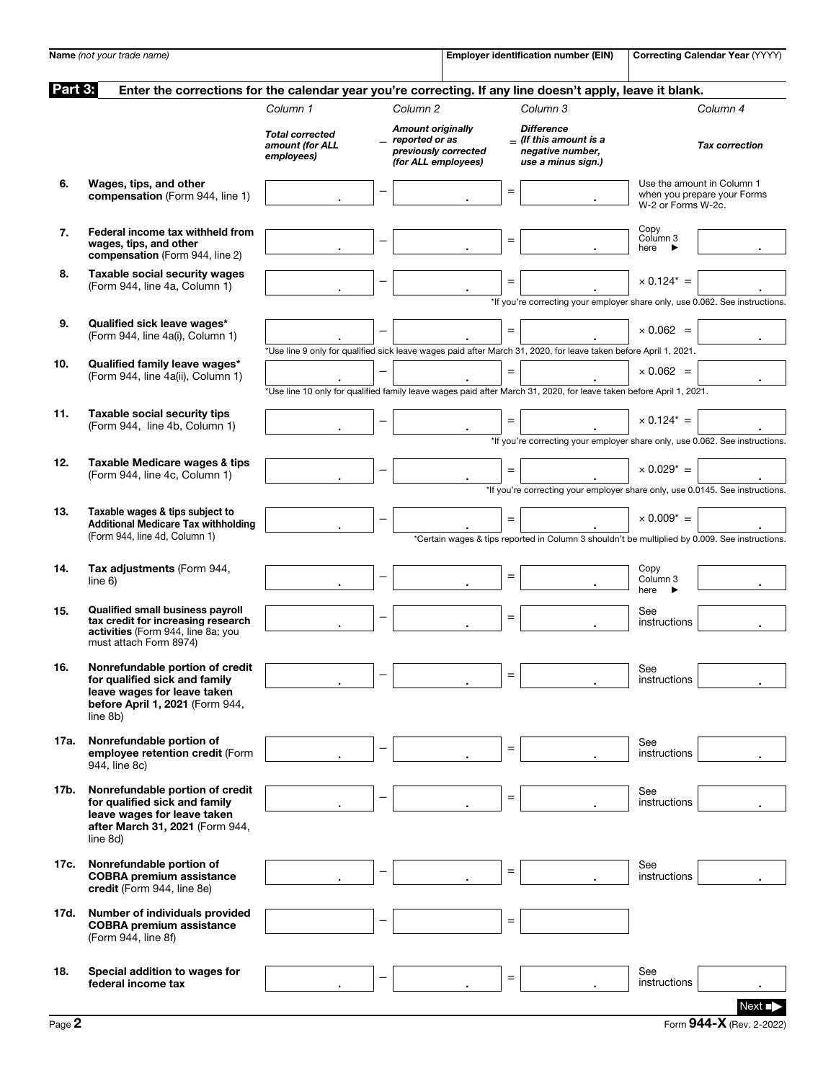|         | Name (not your trade name)                                                                                                                     |                                                         |                          |                                                                                           |                   | <b>Employer identification number (EIN)</b>                                                                         |                                     | Correcting Calendar Year (YYYY)                           |
|---------|------------------------------------------------------------------------------------------------------------------------------------------------|---------------------------------------------------------|--------------------------|-------------------------------------------------------------------------------------------|-------------------|---------------------------------------------------------------------------------------------------------------------|-------------------------------------|-----------------------------------------------------------|
| Part 3: | Enter the corrections for the calendar year you're correcting. If any line doesn't apply, leave it blank.                                      |                                                         |                          |                                                                                           |                   |                                                                                                                     |                                     |                                                           |
|         |                                                                                                                                                | Column 1                                                |                          | Column <sub>2</sub>                                                                       |                   | Column 3                                                                                                            |                                     | Column 4                                                  |
|         |                                                                                                                                                | <b>Total corrected</b><br>amount (for ALL<br>employees) |                          | <b>Amount originally</b><br>reported or as<br>previously corrected<br>(for ALL employees) |                   | <b>Difference</b><br>$=$ (If this amount is a<br>negative number,<br>use a minus sign.)                             |                                     | <b>Tax correction</b>                                     |
| 6.      | Wages, tips, and other<br>compensation (Form 944, line 1)                                                                                      |                                                         |                          |                                                                                           | $\equiv$          |                                                                                                                     | W-2 or Forms W-2c.                  | Use the amount in Column 1<br>when you prepare your Forms |
| 7.      | Federal income tax withheld from<br>wages, tips, and other<br>compensation (Form 944, line 2)                                                  |                                                         |                          |                                                                                           | $=$               |                                                                                                                     | Copy<br>Column 3<br>here<br>▸       |                                                           |
| 8.      | <b>Taxable social security wages</b><br>(Form 944, line 4a, Column 1)                                                                          |                                                         | -                        |                                                                                           | $\qquad \qquad =$ | *If you're correcting your employer share only, use 0.062. See instructions.                                        | $\times$ 0.124* =                   |                                                           |
| 9.      | Qualified sick leave wages*<br>(Form 944, line 4a(i), Column 1)                                                                                |                                                         |                          |                                                                                           | $=$               | *Use line 9 only for qualified sick leave wages paid after March 31, 2020, for leave taken before April 1, 2021.    | $\times 0.062 =$                    |                                                           |
| 10.     | Qualified family leave wages*<br>(Form 944, line 4a(ii), Column 1)                                                                             |                                                         |                          |                                                                                           | $=$               | *Use line 10 only for qualified family leave wages paid after March 31, 2020, for leave taken before April 1, 2021. | $\times 0.062 =$                    |                                                           |
| 11.     | Taxable social security tips<br>(Form 944, line 4b, Column 1)                                                                                  |                                                         |                          |                                                                                           | $=$               | *If you're correcting your employer share only, use 0.062. See instructions.                                        | $\times$ 0.124* =                   |                                                           |
| 12.     | Taxable Medicare wages & tips<br>(Form 944, line 4c, Column 1)                                                                                 |                                                         |                          |                                                                                           | $=$               | *If you're correcting your employer share only, use 0.0145. See instructions.                                       | $\times$ 0.029 <sup>*</sup> =       |                                                           |
| 13.     | Taxable wages & tips subject to<br><b>Additional Medicare Tax withholding</b><br>(Form 944, line 4d, Column 1)                                 |                                                         |                          |                                                                                           | $=$               | *Certain wages & tips reported in Column 3 shouldn't be multiplied by 0.009. See instructions.                      | $\times 0.009^* =$                  |                                                           |
| 14.     | Tax adjustments (Form 944,<br>line 6)                                                                                                          |                                                         |                          |                                                                                           | $\qquad \qquad =$ |                                                                                                                     | Copy<br>Column <sub>3</sub><br>here |                                                           |
| 15.     | <b>Qualified small business payroll</b><br>tax credit for increasing research<br>activities (Form 944, line 8a; you<br>must attach Form 8974)  |                                                         | $\overline{\phantom{0}}$ |                                                                                           | $=$               |                                                                                                                     | See<br>instructions                 |                                                           |
| 16.     | Nonrefundable portion of credit<br>for qualified sick and family<br>leave wages for leave taken<br>before April 1, 2021 (Form 944,<br>line 8b) |                                                         |                          |                                                                                           | $\equiv$          |                                                                                                                     | See<br>instructions                 |                                                           |
| 17a.    | Nonrefundable portion of<br>employee retention credit (Form<br>944. line 8c)                                                                   |                                                         |                          |                                                                                           | $\equiv$          |                                                                                                                     | See<br>instructions                 |                                                           |
| 17b.    | Nonrefundable portion of credit<br>for qualified sick and family<br>leave wages for leave taken<br>after March 31, 2021 (Form 944,<br>line 8d) |                                                         |                          |                                                                                           | $\equiv$          |                                                                                                                     | See<br>instructions                 |                                                           |
| 17c.    | Nonrefundable portion of<br><b>COBRA</b> premium assistance<br>credit (Form 944, line 8e)                                                      |                                                         |                          |                                                                                           | $\qquad \qquad =$ |                                                                                                                     | See<br>instructions                 |                                                           |
| 17d.    | Number of individuals provided<br><b>COBRA</b> premium assistance<br>(Form 944, line 8f)                                                       |                                                         |                          |                                                                                           | $\qquad \qquad =$ |                                                                                                                     |                                     |                                                           |
| 18.     | Special addition to wages for<br>federal income tax                                                                                            |                                                         |                          |                                                                                           | $\qquad \qquad =$ |                                                                                                                     | See<br>instructions                 |                                                           |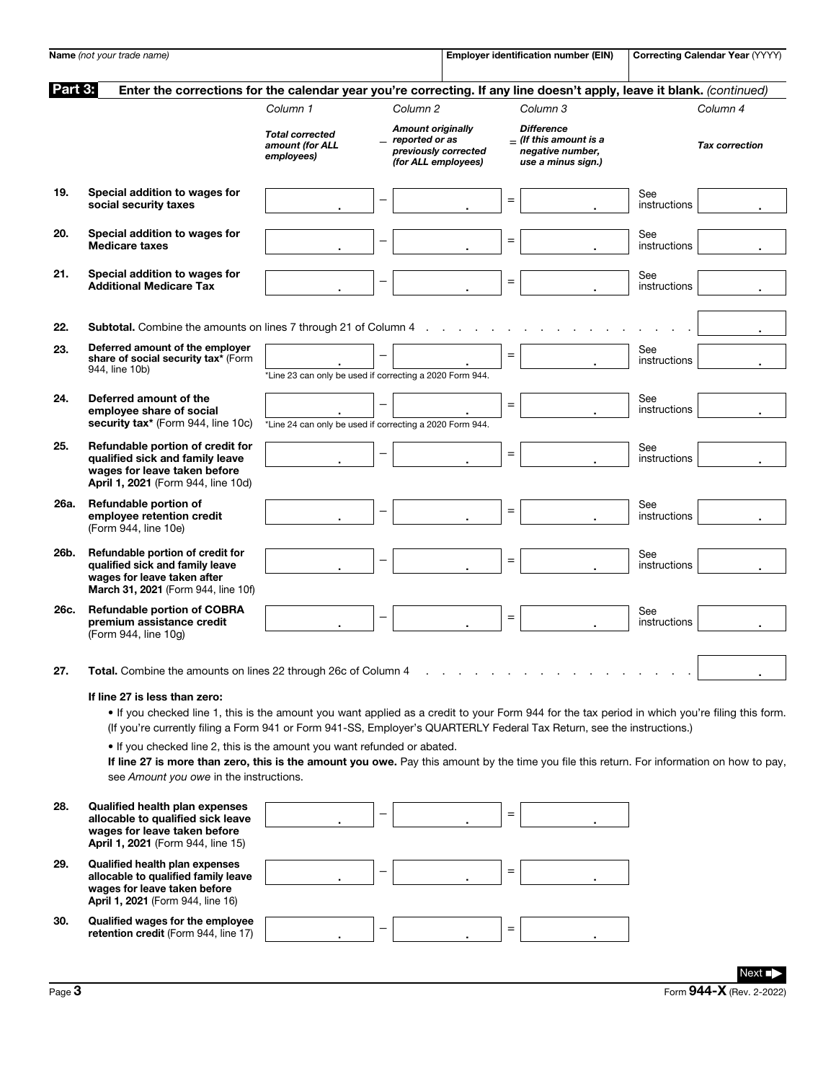|         | Name (not your trade name)                                                                                                                                                                                                                                                                                                                                                                                                                                                                                                                                                     |                                                          |                          |                                                                                           |     | Employer identification number (EIN)                                                    |                     | Correcting Calendar Year (YYYY) |
|---------|--------------------------------------------------------------------------------------------------------------------------------------------------------------------------------------------------------------------------------------------------------------------------------------------------------------------------------------------------------------------------------------------------------------------------------------------------------------------------------------------------------------------------------------------------------------------------------|----------------------------------------------------------|--------------------------|-------------------------------------------------------------------------------------------|-----|-----------------------------------------------------------------------------------------|---------------------|---------------------------------|
| Part 3: | Enter the corrections for the calendar year you're correcting. If any line doesn't apply, leave it blank. (continued)                                                                                                                                                                                                                                                                                                                                                                                                                                                          |                                                          |                          |                                                                                           |     |                                                                                         |                     |                                 |
|         |                                                                                                                                                                                                                                                                                                                                                                                                                                                                                                                                                                                | Column 1                                                 |                          | Column <sub>2</sub>                                                                       |     | Column <sub>3</sub>                                                                     |                     | Column 4                        |
|         |                                                                                                                                                                                                                                                                                                                                                                                                                                                                                                                                                                                | <b>Total corrected</b><br>amount (for ALL<br>employees)  |                          | <b>Amount originally</b><br>reported or as<br>previously corrected<br>(for ALL employees) |     | <b>Difference</b><br>$-$ (If this amount is a<br>negative number,<br>use a minus sign.) |                     | <b>Tax correction</b>           |
| 19.     | Special addition to wages for<br>social security taxes                                                                                                                                                                                                                                                                                                                                                                                                                                                                                                                         |                                                          |                          |                                                                                           | $=$ |                                                                                         | See<br>instructions |                                 |
| 20.     | Special addition to wages for<br><b>Medicare taxes</b>                                                                                                                                                                                                                                                                                                                                                                                                                                                                                                                         |                                                          |                          |                                                                                           | $=$ |                                                                                         | See<br>instructions |                                 |
| 21.     | Special addition to wages for<br><b>Additional Medicare Tax</b>                                                                                                                                                                                                                                                                                                                                                                                                                                                                                                                |                                                          | $\overline{\phantom{0}}$ |                                                                                           | $=$ |                                                                                         | See<br>instructions |                                 |
| 22.     | Subtotal. Combine the amounts on lines 7 through 21 of Column 4                                                                                                                                                                                                                                                                                                                                                                                                                                                                                                                |                                                          |                          |                                                                                           |     |                                                                                         |                     |                                 |
| 23.     | Deferred amount of the employer<br>share of social security tax* (Form<br>944, line 10b)                                                                                                                                                                                                                                                                                                                                                                                                                                                                                       | *Line 23 can only be used if correcting a 2020 Form 944. |                          |                                                                                           | $=$ |                                                                                         | See<br>instructions |                                 |
| 24.     | Deferred amount of the<br>emplovee share of social<br>security tax* (Form 944, line 10c)                                                                                                                                                                                                                                                                                                                                                                                                                                                                                       | *Line 24 can only be used if correcting a 2020 Form 944. |                          |                                                                                           | $=$ |                                                                                         | See<br>instructions |                                 |
| 25.     | Refundable portion of credit for<br>qualified sick and family leave<br>wages for leave taken before<br>April 1, 2021 (Form 944, line 10d)                                                                                                                                                                                                                                                                                                                                                                                                                                      |                                                          |                          |                                                                                           | $=$ |                                                                                         | See<br>instructions |                                 |
| 26a.    | Refundable portion of<br>employee retention credit<br>(Form 944, line 10e)                                                                                                                                                                                                                                                                                                                                                                                                                                                                                                     |                                                          |                          |                                                                                           | $=$ |                                                                                         | See<br>instructions |                                 |
| 26b.    | Refundable portion of credit for<br>qualified sick and family leave<br>wages for leave taken after<br>March 31, 2021 (Form 944, line 10f)                                                                                                                                                                                                                                                                                                                                                                                                                                      |                                                          |                          |                                                                                           | $=$ |                                                                                         | See<br>instructions |                                 |
| 26c.    | <b>Refundable portion of COBRA</b><br>premium assistance credit<br>(Form 944, line 10g)                                                                                                                                                                                                                                                                                                                                                                                                                                                                                        |                                                          | $\overline{\phantom{0}}$ |                                                                                           | $=$ |                                                                                         | See<br>instructions |                                 |
| 27.     | Total. Combine the amounts on lines 22 through 26c of Column 4                                                                                                                                                                                                                                                                                                                                                                                                                                                                                                                 |                                                          |                          |                                                                                           |     |                                                                                         |                     |                                 |
|         | If line 27 is less than zero:<br>. If you checked line 1, this is the amount you want applied as a credit to your Form 944 for the tax period in which you're filing this form.<br>(If you're currently filing a Form 941 or Form 941-SS, Employer's QUARTERLY Federal Tax Return, see the instructions.)<br>. If you checked line 2, this is the amount you want refunded or abated.<br>If line 27 is more than zero, this is the amount you owe. Pay this amount by the time you file this return. For information on how to pay,<br>see Amount you owe in the instructions. |                                                          |                          |                                                                                           |     |                                                                                         |                     |                                 |
| 28.     | <b>Qualified health plan expenses</b><br>allocable to qualified sick leave<br>wages for leave taken before<br>April 1, 2021 (Form 944, line 15)                                                                                                                                                                                                                                                                                                                                                                                                                                |                                                          |                          |                                                                                           | $=$ |                                                                                         |                     |                                 |
| 29.     | <b>Qualified health plan expenses</b><br>allocable to qualified family leave<br>wages for leave taken before<br>April 1, 2021 (Form 944, line 16)                                                                                                                                                                                                                                                                                                                                                                                                                              |                                                          |                          |                                                                                           | $=$ |                                                                                         |                     |                                 |
| 30.     | Qualified wages for the employee<br>retention credit (Form 944, line 17)                                                                                                                                                                                                                                                                                                                                                                                                                                                                                                       |                                                          |                          |                                                                                           | $=$ |                                                                                         |                     |                                 |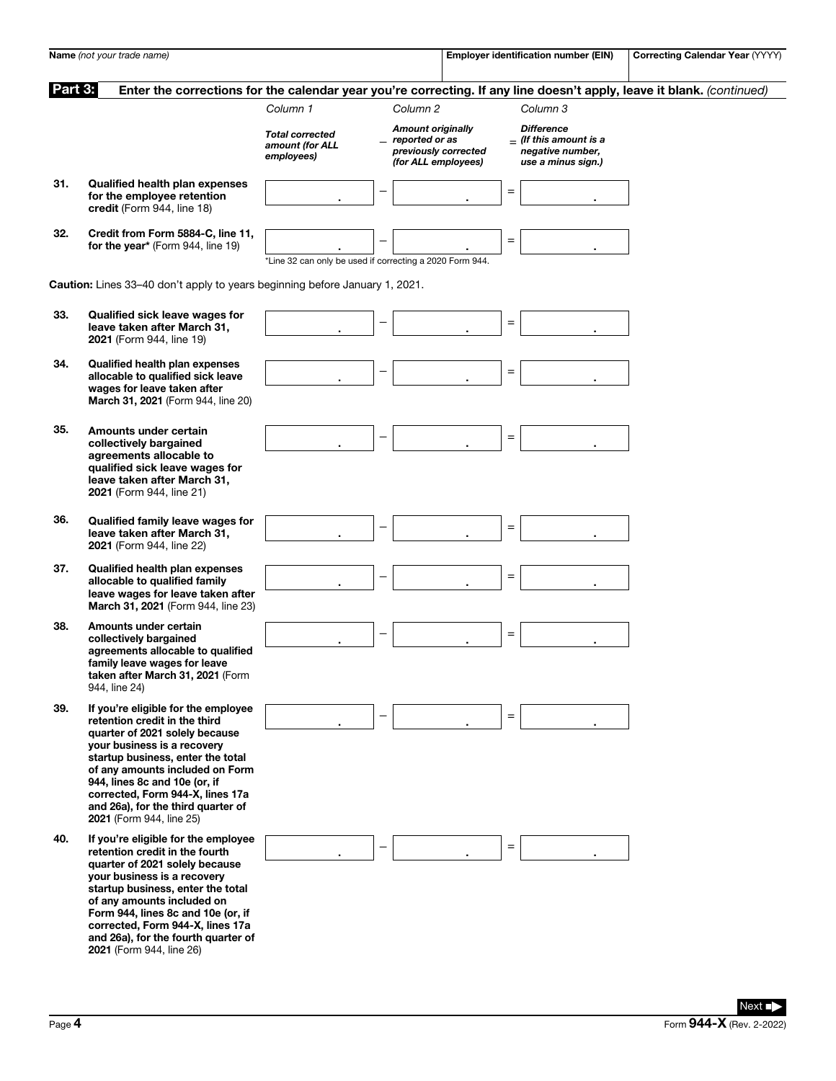|         | Name (not your trade name)                                                                                                                                                                                                                                                                                                                             |                                                          |   |                                                                                             |     | <b>Employer identification number (EIN)</b>                                             | <b>Correcting Calendar Year (YYYY)</b>                                                                                |
|---------|--------------------------------------------------------------------------------------------------------------------------------------------------------------------------------------------------------------------------------------------------------------------------------------------------------------------------------------------------------|----------------------------------------------------------|---|---------------------------------------------------------------------------------------------|-----|-----------------------------------------------------------------------------------------|-----------------------------------------------------------------------------------------------------------------------|
| Part 3: |                                                                                                                                                                                                                                                                                                                                                        |                                                          |   |                                                                                             |     |                                                                                         | Enter the corrections for the calendar year you're correcting. If any line doesn't apply, leave it blank. (continued) |
|         |                                                                                                                                                                                                                                                                                                                                                        | Column 1                                                 |   | Column <sub>2</sub>                                                                         |     | Column 3                                                                                |                                                                                                                       |
|         |                                                                                                                                                                                                                                                                                                                                                        | <b>Total corrected</b><br>amount (for ALL<br>employees)  |   | <b>Amount originally</b><br>_ reported or as<br>previously corrected<br>(for ALL employees) |     | <b>Difference</b><br>$=$ (If this amount is a<br>negative number,<br>use a minus sign.) |                                                                                                                       |
| 31.     | Qualified health plan expenses<br>for the employee retention<br>credit (Form 944, line 18)                                                                                                                                                                                                                                                             |                                                          |   |                                                                                             | $=$ |                                                                                         |                                                                                                                       |
| 32.     | Credit from Form 5884-C, line 11,<br>for the year* (Form 944, line 19)                                                                                                                                                                                                                                                                                 | *Line 32 can only be used if correcting a 2020 Form 944. |   |                                                                                             | $=$ |                                                                                         |                                                                                                                       |
|         | <b>Caution:</b> Lines 33-40 don't apply to years beginning before January 1, 2021.                                                                                                                                                                                                                                                                     |                                                          |   |                                                                                             |     |                                                                                         |                                                                                                                       |
| 33.     | Qualified sick leave wages for<br>leave taken after March 31,<br>2021 (Form 944, line 19)                                                                                                                                                                                                                                                              |                                                          |   |                                                                                             | $=$ |                                                                                         |                                                                                                                       |
| 34.     | <b>Qualified health plan expenses</b><br>allocable to qualified sick leave<br>wages for leave taken after<br>March 31, 2021 (Form 944, line 20)                                                                                                                                                                                                        |                                                          |   |                                                                                             | $=$ |                                                                                         |                                                                                                                       |
| 35.     | Amounts under certain<br>collectively bargained<br>agreements allocable to<br>qualified sick leave wages for<br>leave taken after March 31,<br>2021 (Form 944, line 21)                                                                                                                                                                                |                                                          |   |                                                                                             | $=$ |                                                                                         |                                                                                                                       |
| 36.     | Qualified family leave wages for<br>leave taken after March 31,<br>2021 (Form 944, line 22)                                                                                                                                                                                                                                                            |                                                          |   |                                                                                             | $=$ |                                                                                         |                                                                                                                       |
| 37.     | <b>Qualified health plan expenses</b><br>allocable to qualified family<br>leave wages for leave taken after<br>March 31, 2021 (Form 944, line 23)                                                                                                                                                                                                      |                                                          |   |                                                                                             | $=$ |                                                                                         |                                                                                                                       |
| 38.     | Amounts under certain<br>collectively bargained<br>agreements allocable to qualified<br>family leave wages for leave<br>taken after March 31, 2021 (Form<br>944, line 24)                                                                                                                                                                              |                                                          |   |                                                                                             | $=$ |                                                                                         |                                                                                                                       |
| 39.     | If you're eligible for the employee<br>retention credit in the third<br>quarter of 2021 solely because<br>your business is a recovery<br>startup business, enter the total<br>of any amounts included on Form<br>944, lines 8c and 10e (or, if<br>corrected, Form 944-X, lines 17a<br>and 26a), for the third quarter of<br>2021 (Form 944, line 25)   |                                                          |   |                                                                                             | $=$ |                                                                                         |                                                                                                                       |
| 40.     | If you're eligible for the employee<br>retention credit in the fourth<br>quarter of 2021 solely because<br>your business is a recovery<br>startup business, enter the total<br>of any amounts included on<br>Form 944, lines 8c and 10e (or, if<br>corrected, Form 944-X, lines 17a<br>and 26a), for the fourth quarter of<br>2021 (Form 944, line 26) |                                                          | - |                                                                                             | $=$ |                                                                                         |                                                                                                                       |
|         |                                                                                                                                                                                                                                                                                                                                                        |                                                          |   |                                                                                             |     |                                                                                         | Next ∎                                                                                                                |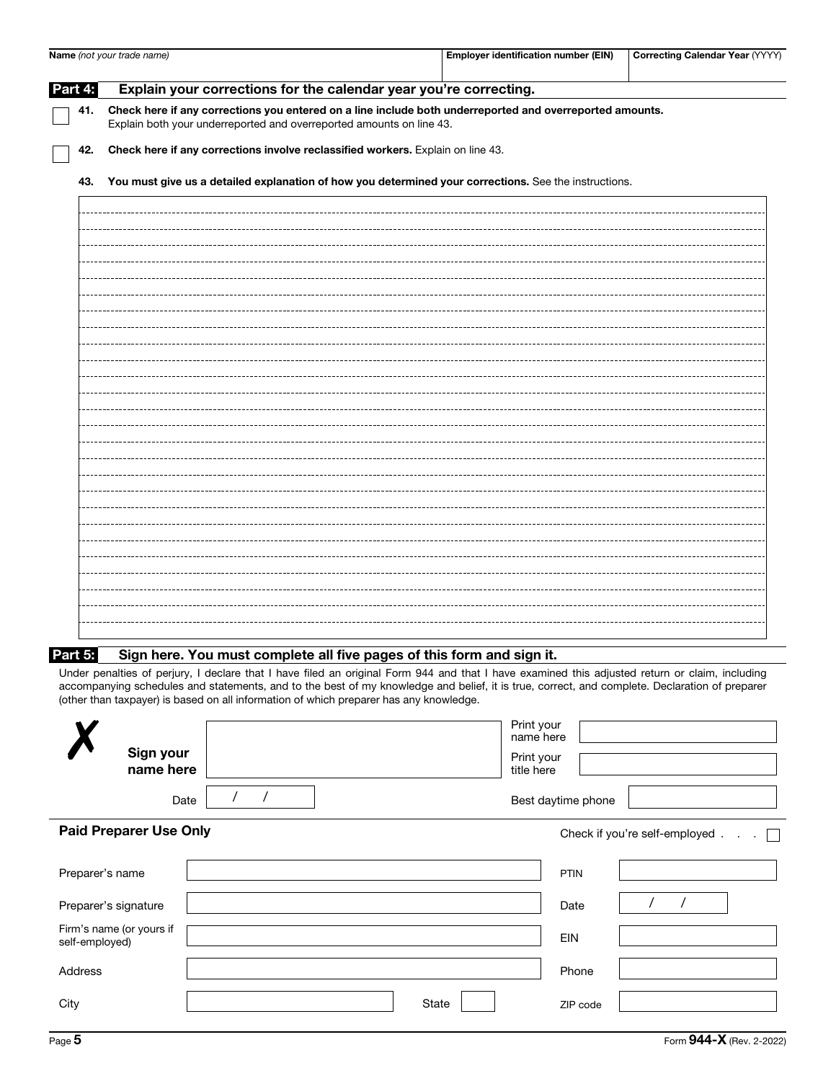|         | Name (not your trade name)                                                                                                                                                       | <b>Employer identification number (EIN)</b>                                                           | <b>Correcting Calendar Year (YYYY)</b> |  |  |  |  |  |
|---------|----------------------------------------------------------------------------------------------------------------------------------------------------------------------------------|-------------------------------------------------------------------------------------------------------|----------------------------------------|--|--|--|--|--|
| Part 4: | Explain your corrections for the calendar year you're correcting.                                                                                                                |                                                                                                       |                                        |  |  |  |  |  |
| 41.     | Check here if any corrections you entered on a line include both underreported and overreported amounts.<br>Explain both your underreported and overreported amounts on line 43. |                                                                                                       |                                        |  |  |  |  |  |
| 42.     | Check here if any corrections involve reclassified workers. Explain on line 43.                                                                                                  |                                                                                                       |                                        |  |  |  |  |  |
| 43.     |                                                                                                                                                                                  | You must give us a detailed explanation of how you determined your corrections. See the instructions. |                                        |  |  |  |  |  |
|         |                                                                                                                                                                                  |                                                                                                       |                                        |  |  |  |  |  |
|         |                                                                                                                                                                                  |                                                                                                       |                                        |  |  |  |  |  |
|         |                                                                                                                                                                                  |                                                                                                       |                                        |  |  |  |  |  |
|         |                                                                                                                                                                                  |                                                                                                       |                                        |  |  |  |  |  |
|         |                                                                                                                                                                                  |                                                                                                       |                                        |  |  |  |  |  |
|         |                                                                                                                                                                                  |                                                                                                       |                                        |  |  |  |  |  |
|         |                                                                                                                                                                                  |                                                                                                       |                                        |  |  |  |  |  |
|         |                                                                                                                                                                                  |                                                                                                       |                                        |  |  |  |  |  |
|         |                                                                                                                                                                                  |                                                                                                       |                                        |  |  |  |  |  |
|         |                                                                                                                                                                                  |                                                                                                       |                                        |  |  |  |  |  |
|         |                                                                                                                                                                                  |                                                                                                       |                                        |  |  |  |  |  |
|         |                                                                                                                                                                                  |                                                                                                       |                                        |  |  |  |  |  |
|         |                                                                                                                                                                                  |                                                                                                       |                                        |  |  |  |  |  |
|         |                                                                                                                                                                                  |                                                                                                       |                                        |  |  |  |  |  |
|         |                                                                                                                                                                                  |                                                                                                       |                                        |  |  |  |  |  |
|         |                                                                                                                                                                                  |                                                                                                       |                                        |  |  |  |  |  |
|         |                                                                                                                                                                                  |                                                                                                       |                                        |  |  |  |  |  |

Under penalties of perjury, I declare that I have filed an original Form 944 and that I have examined this adjusted return or claim, including accompanying schedules and statements, and to the best of my knowledge and belief, it is true, correct, and complete. Declaration of preparer (other than taxpayer) is based on all information of which preparer has any knowledge.

| Sign your<br>name here                     |       | Print your<br>name here<br>Print your<br>title here |                               |
|--------------------------------------------|-------|-----------------------------------------------------|-------------------------------|
| Date                                       |       | Best daytime phone                                  |                               |
| <b>Paid Preparer Use Only</b>              |       |                                                     | Check if you're self-employed |
| Preparer's name                            |       | <b>PTIN</b>                                         |                               |
| Preparer's signature                       |       | Date                                                |                               |
| Firm's name (or yours if<br>self-employed) |       | <b>EIN</b>                                          |                               |
| Address                                    |       | Phone                                               |                               |
| City                                       | State | ZIP code                                            |                               |